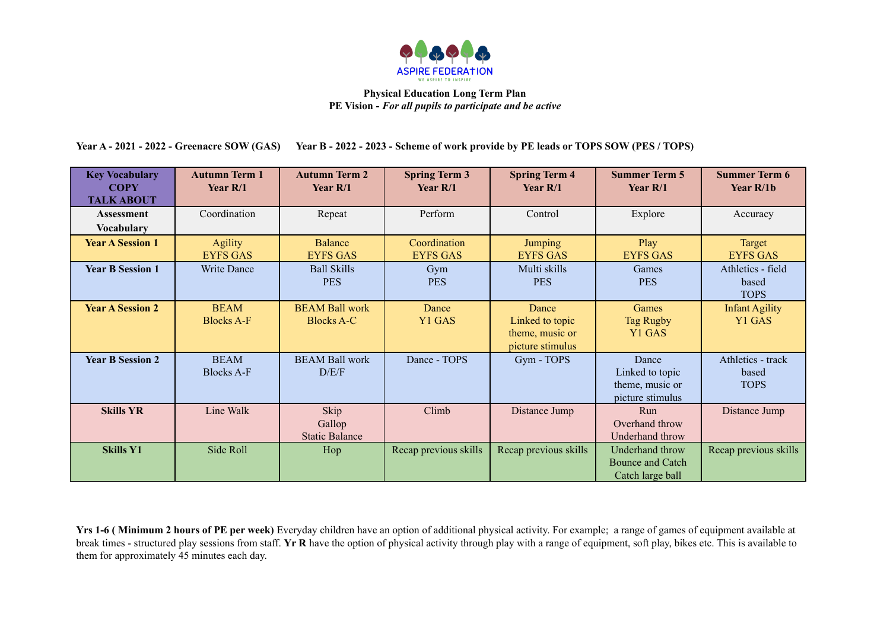

Year A - 2021 - 2022 - Greenacre SOW (GAS) Year B - 2022 - 2023 - Scheme of work provide by PE leads or TOPS SOW (PES / TOPS)

| <b>Key Vocabulary</b><br><b>COPY</b><br><b>TALK ABOUT</b> | <b>Autumn Term 1</b><br>Year $R/1$ | <b>Autumn Term 2</b><br>Year $R/1$         | <b>Spring Term 3</b><br>Year $R/1$ | <b>Spring Term 4</b><br>Year $R/1$                              | <b>Summer Term 5</b><br>Year $R/1$                              | <b>Summer Term 6</b><br>Year $R/1b$       |
|-----------------------------------------------------------|------------------------------------|--------------------------------------------|------------------------------------|-----------------------------------------------------------------|-----------------------------------------------------------------|-------------------------------------------|
| <b>Assessment</b><br><b>Vocabulary</b>                    | Coordination                       | Repeat                                     | Perform                            | Control                                                         | Explore                                                         | Accuracy                                  |
| <b>Year A Session 1</b>                                   | <b>Agility</b><br><b>EYFS GAS</b>  | <b>Balance</b><br><b>EYFS GAS</b>          | Coordination<br><b>EYFS GAS</b>    | <b>Jumping</b><br><b>EYFS GAS</b>                               | Play<br><b>EYFS GAS</b>                                         | Target<br><b>EYFS GAS</b>                 |
| <b>Year B Session 1</b>                                   | Write Dance                        | <b>Ball Skills</b><br><b>PES</b>           | Gym<br><b>PES</b>                  | Multi skills<br><b>PES</b>                                      | Games<br><b>PES</b>                                             | Athletics - field<br>based<br><b>TOPS</b> |
| <b>Year A Session 2</b>                                   | <b>BEAM</b><br><b>Blocks A-F</b>   | <b>BEAM Ball work</b><br><b>Blocks A-C</b> | Dance<br>Y1 GAS                    | Dance<br>Linked to topic<br>theme, music or<br>picture stimulus | Games<br><b>Tag Rugby</b><br>Y1 GAS                             | <b>Infant Agility</b><br>Y1 GAS           |
| <b>Year B Session 2</b>                                   | <b>BEAM</b><br><b>Blocks A-F</b>   | <b>BEAM Ball work</b><br>D/E/F             | Dance - TOPS                       | Gym - TOPS                                                      | Dance<br>Linked to topic<br>theme, music or<br>picture stimulus | Athletics - track<br>based<br><b>TOPS</b> |
| <b>Skills YR</b>                                          | Line Walk                          | Skip<br>Gallop<br><b>Static Balance</b>    | Climb                              | Distance Jump                                                   | Run<br>Overhand throw<br>Underhand throw                        | Distance Jump                             |
| <b>Skills Y1</b>                                          | Side Roll                          | Hop                                        | Recap previous skills              | Recap previous skills                                           | Underhand throw<br><b>Bounce and Catch</b><br>Catch large ball  | Recap previous skills                     |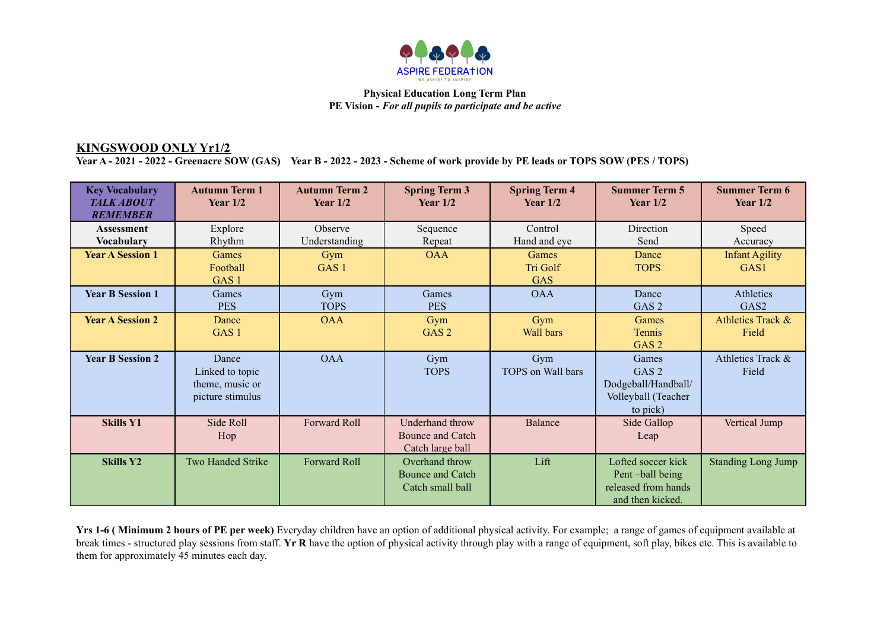

# **KINGSWOOD ONLY Yr1/2**

Year A - 2021 - 2022 - Greenacre SOW (GAS) Year B - 2022 - 2023 - Scheme of work provide by PE leads or TOPS SOW (PES / TOPS)

| <b>Key Vocabulary</b><br><b>TALK ABOUT</b><br><b>REMEMBER</b> | <b>Autumn Term 1</b><br>Year $1/2$                              | <b>Autumn Term 2</b><br>Year $1/2$ | <b>Spring Term 3</b><br>Year $1/2$                            | <b>Spring Term 4</b><br>Year $1/2$ | <b>Summer Term 5</b><br>Year $1/2$                                                  | <b>Summer Term 6</b><br>Year $1/2$        |
|---------------------------------------------------------------|-----------------------------------------------------------------|------------------------------------|---------------------------------------------------------------|------------------------------------|-------------------------------------------------------------------------------------|-------------------------------------------|
| <b>Assessment</b><br><b>Vocabulary</b>                        | Explore<br>Rhythm                                               | Observe<br>Understanding           | Sequence<br>Repeat                                            | Control<br>Hand and eye            | Direction<br>Send                                                                   | Speed<br>Accuracy                         |
| <b>Year A Session 1</b>                                       | Games<br>Football<br>GAS <sub>1</sub>                           | Gym<br>GAS <sub>1</sub>            | <b>OAA</b>                                                    | Games<br>Tri Golf<br><b>GAS</b>    | Dance<br><b>TOPS</b>                                                                | <b>Infant Agility</b><br>GAS <sub>1</sub> |
| <b>Year B Session 1</b>                                       | Games<br><b>PES</b>                                             | Gym<br><b>TOPS</b>                 | Games<br><b>PES</b>                                           | <b>OAA</b>                         | Dance<br>GAS <sub>2</sub>                                                           | Athletics<br>GAS <sub>2</sub>             |
| <b>Year A Session 2</b>                                       | Dance<br>GAS <sub>1</sub>                                       | <b>OAA</b>                         | Gym<br>GAS <sub>2</sub>                                       | Gym<br>Wall bars                   | Games<br>Tennis<br>GAS <sub>2</sub>                                                 | Athletics Track &<br>Field                |
| <b>Year B Session 2</b>                                       | Dance<br>Linked to topic<br>theme, music or<br>picture stimulus | <b>OAA</b>                         | Gym<br><b>TOPS</b>                                            | Gym<br>TOPS on Wall bars           | Games<br>GAS <sub>2</sub><br>Dodgeball/Handball/<br>Volleyball (Teacher<br>to pick) | Athletics Track &<br>Field                |
| <b>Skills Y1</b>                                              | Side Roll<br>Hop                                                | Forward Roll                       | Underhand throw<br>Bounce and Catch<br>Catch large ball       | <b>Balance</b>                     | Side Gallop<br>Leap                                                                 | Vertical Jump                             |
| <b>Skills Y2</b>                                              | <b>Two Handed Strike</b>                                        | <b>Forward Roll</b>                | Overhand throw<br><b>Bounce and Catch</b><br>Catch small ball | Lift                               | Lofted soccer kick<br>Pent-ball being<br>released from hands<br>and then kicked.    | <b>Standing Long Jump</b>                 |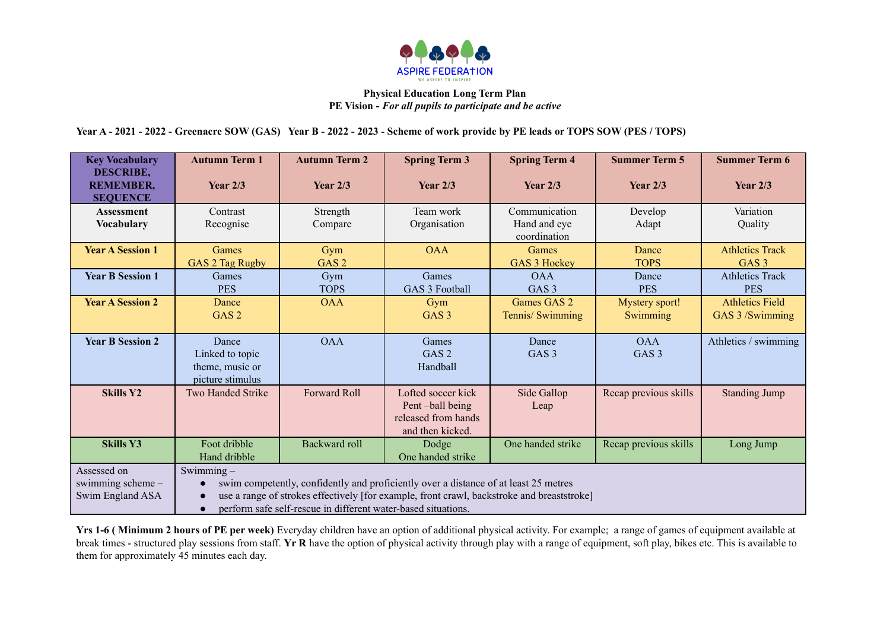

Year A - 2021 - 2022 - Greenacre SOW (GAS) Year B - 2022 - 2023 - Scheme of work provide by PE leads or TOPS SOW (PES / TOPS)

| <b>Key Vocabulary</b><br><b>DESCRIBE,</b>            | <b>Autumn Term 1</b>                                                                                                                                                                                                                                                                          | <b>Autumn Term 2</b> | <b>Spring Term 3</b>                                                             | <b>Spring Term 4</b>                          | <b>Summer Term 5</b>           | <b>Summer Term 6</b>                       |
|------------------------------------------------------|-----------------------------------------------------------------------------------------------------------------------------------------------------------------------------------------------------------------------------------------------------------------------------------------------|----------------------|----------------------------------------------------------------------------------|-----------------------------------------------|--------------------------------|--------------------------------------------|
| <b>REMEMBER,</b><br><b>SEQUENCE</b>                  | Year $2/3$                                                                                                                                                                                                                                                                                    | Year $2/3$           | Year $2/3$                                                                       | Year $2/3$                                    | Year $2/3$                     | Year $2/3$                                 |
| <b>Assessment</b><br><b>Vocabulary</b>               | Contrast<br>Recognise                                                                                                                                                                                                                                                                         | Strength<br>Compare  | Team work<br>Organisation                                                        | Communication<br>Hand and eye<br>coordination | Develop<br>Adapt               | Variation<br>Quality                       |
| <b>Year A Session 1</b>                              | Games<br>GAS 2 Tag Rugby                                                                                                                                                                                                                                                                      | Gym<br>GAS 2         | <b>OAA</b>                                                                       | Games<br>GAS 3 Hockey                         | Dance<br><b>TOPS</b>           | <b>Athletics Track</b><br>GAS <sub>3</sub> |
| <b>Year B Session 1</b>                              | Games<br><b>PES</b>                                                                                                                                                                                                                                                                           | Gym<br><b>TOPS</b>   | Games<br>GAS 3 Football                                                          | <b>OAA</b><br>GAS <sub>3</sub>                | Dance<br><b>PES</b>            | <b>Athletics Track</b><br><b>PES</b>       |
| <b>Year A Session 2</b>                              | Dance<br>GAS <sub>2</sub>                                                                                                                                                                                                                                                                     | <b>OAA</b>           | Gym<br>GAS <sub>3</sub>                                                          | Games GAS 2<br>Tennis/ Swimming               | Mystery sport!<br>Swimming     | <b>Athletics Field</b><br>GAS 3 /Swimming  |
| <b>Year B Session 2</b>                              | Dance<br>Linked to topic<br>theme, music or<br>picture stimulus                                                                                                                                                                                                                               | <b>OAA</b>           | Games<br>GAS <sub>2</sub><br>Handball                                            | Dance<br>GAS <sub>3</sub>                     | <b>OAA</b><br>GAS <sub>3</sub> | Athletics / swimming                       |
| <b>Skills Y2</b>                                     | <b>Two Handed Strike</b>                                                                                                                                                                                                                                                                      | <b>Forward Roll</b>  | Lofted soccer kick<br>Pent-ball being<br>released from hands<br>and then kicked. | Side Gallop<br>Leap                           | Recap previous skills          | <b>Standing Jump</b>                       |
| <b>Skills Y3</b>                                     | Foot dribble<br>Hand dribble                                                                                                                                                                                                                                                                  | <b>Backward roll</b> | Dodge<br>One handed strike                                                       | One handed strike                             | Recap previous skills          | Long Jump                                  |
| Assessed on<br>swimming scheme -<br>Swim England ASA | Swimming $-$<br>swim competently, confidently and proficiently over a distance of at least 25 metres<br>$\bullet$<br>use a range of strokes effectively [for example, front crawl, backstroke and breaststroke]<br>perform safe self-rescue in different water-based situations.<br>$\bullet$ |                      |                                                                                  |                                               |                                |                                            |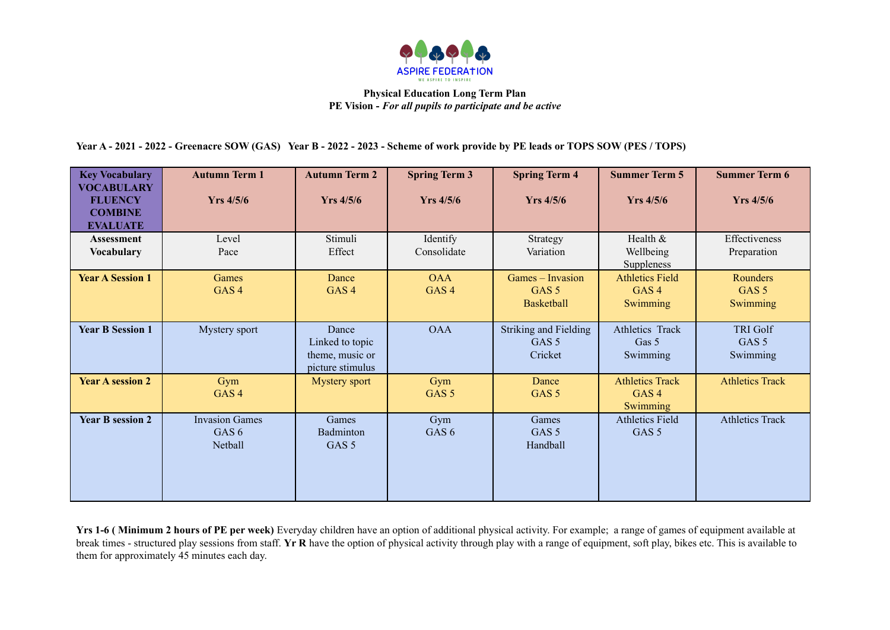

Year A - 2021 - 2022 - Greenacre SOW (GAS) Year B - 2022 - 2023 - Scheme of work provide by PE leads or TOPS SOW (PES / TOPS)

| <b>Key Vocabulary</b><br><b>VOCABULARY</b><br><b>FLUENCY</b><br><b>COMBINE</b><br><b>EVALUATE</b> | <b>Autumn Term 1</b><br><b>Yrs</b> 4/5/6             | <b>Autumn Term 2</b><br>$Yrs$ 4/5/6                             | <b>Spring Term 3</b><br><b>Yrs</b> 4/5/6 | <b>Spring Term 4</b><br><b>Yrs</b> 4/5/6                    | <b>Summer Term 5</b><br>$Yrs$ 4/5/6                    | <b>Summer Term 6</b><br>$Yrs$ 4/5/6             |
|---------------------------------------------------------------------------------------------------|------------------------------------------------------|-----------------------------------------------------------------|------------------------------------------|-------------------------------------------------------------|--------------------------------------------------------|-------------------------------------------------|
| <b>Assessment</b><br><b>Vocabulary</b>                                                            | Level<br>Pace                                        | Stimuli<br>Effect                                               | Identify<br>Consolidate                  | Strategy<br>Variation                                       | Health &<br>Wellbeing<br>Suppleness                    | Effectiveness<br>Preparation                    |
| <b>Year A Session 1</b>                                                                           | Games<br>GAS <sub>4</sub>                            | Dance<br>GAS <sub>4</sub>                                       | <b>OAA</b><br>GAS <sub>4</sub>           | Games - Invasion<br>GAS <sub>5</sub><br><b>Basketball</b>   | <b>Athletics Field</b><br>GAS <sub>4</sub><br>Swimming | Rounders<br>GAS <sub>5</sub><br>Swimming        |
| <b>Year B Session 1</b>                                                                           | Mystery sport                                        | Dance<br>Linked to topic<br>theme, music or<br>picture stimulus | <b>OAA</b>                               | <b>Striking and Fielding</b><br>GAS <sub>5</sub><br>Cricket | Athletics Track<br>Gas 5<br>Swimming                   | <b>TRI Golf</b><br>GAS <sub>5</sub><br>Swimming |
| <b>Year A session 2</b>                                                                           | Gym<br>GAS <sub>4</sub>                              | <b>Mystery sport</b>                                            | Gym<br>GAS <sub>5</sub>                  | Dance<br>GAS <sub>5</sub>                                   | <b>Athletics Track</b><br>GAS <sub>4</sub><br>Swimming | <b>Athletics Track</b>                          |
| <b>Year B session 2</b>                                                                           | <b>Invasion Games</b><br>GAS <sub>6</sub><br>Netball | Games<br>Badminton<br>GAS <sub>5</sub>                          | Gym<br>GAS <sub>6</sub>                  | Games<br>GAS <sub>5</sub><br>Handball                       | <b>Athletics Field</b><br>GAS <sub>5</sub>             | <b>Athletics Track</b>                          |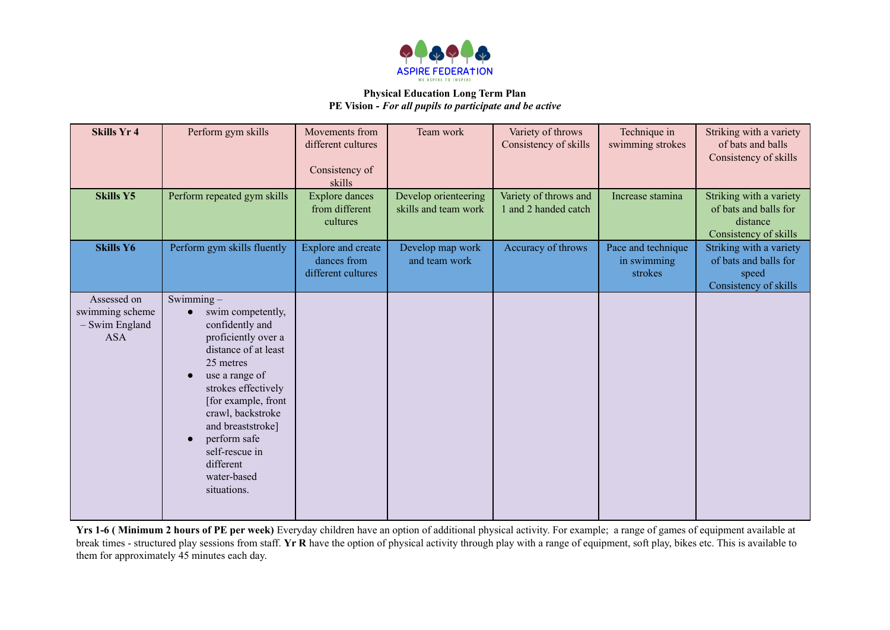

| <b>Skills Yr 4</b>                                             | Perform gym skills                                                                                                                                                                                                                                                                                                             | Movements from<br>different cultures<br>Consistency of<br>skills | Team work                                    | Variety of throws<br>Consistency of skills    | Technique in<br>swimming strokes             | Striking with a variety<br>of bats and balls<br>Consistency of skills                 |
|----------------------------------------------------------------|--------------------------------------------------------------------------------------------------------------------------------------------------------------------------------------------------------------------------------------------------------------------------------------------------------------------------------|------------------------------------------------------------------|----------------------------------------------|-----------------------------------------------|----------------------------------------------|---------------------------------------------------------------------------------------|
| <b>Skills Y5</b>                                               | Perform repeated gym skills                                                                                                                                                                                                                                                                                                    | <b>Explore dances</b><br>from different<br>cultures              | Develop orienteering<br>skills and team work | Variety of throws and<br>1 and 2 handed catch | Increase stamina                             | Striking with a variety<br>of bats and balls for<br>distance<br>Consistency of skills |
| <b>Skills Y6</b>                                               | Perform gym skills fluently                                                                                                                                                                                                                                                                                                    | <b>Explore and create</b><br>dances from<br>different cultures   | Develop map work<br>and team work            | Accuracy of throws                            | Pace and technique<br>in swimming<br>strokes | Striking with a variety<br>of bats and balls for<br>speed<br>Consistency of skills    |
| Assessed on<br>swimming scheme<br>- Swim England<br><b>ASA</b> | Swimming-<br>swim competently,<br>$\bullet$<br>confidently and<br>proficiently over a<br>distance of at least<br>25 metres<br>use a range of<br>strokes effectively<br>[for example, front<br>crawl, backstroke<br>and breaststroke]<br>perform safe<br>$\bullet$<br>self-rescue in<br>different<br>water-based<br>situations. |                                                                  |                                              |                                               |                                              |                                                                                       |